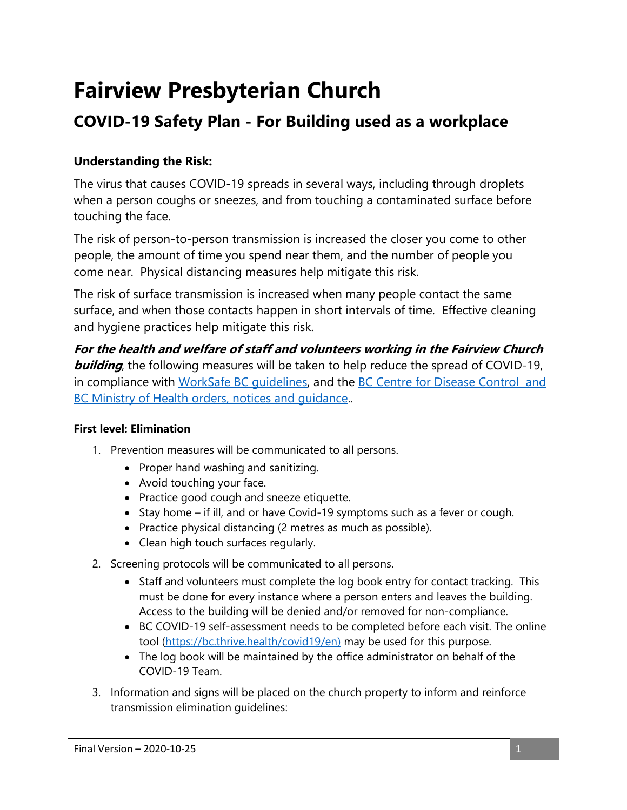# **Fairview Presbyterian Church**

## **COVID-19 Safety Plan - For Building used as a workplace**

### **Understanding the Risk:**

The virus that causes COVID-19 spreads in several ways, including through droplets when a person coughs or sneezes, and from touching a contaminated surface before touching the face.

The risk of person-to-person transmission is increased the closer you come to other people, the amount of time you spend near them, and the number of people you come near. Physical distancing measures help mitigate this risk.

The risk of surface transmission is increased when many people contact the same surface, and when those contacts happen in short intervals of time. Effective cleaning and hygiene practices help mitigate this risk.

**For the health and welfare of staff and volunteers working in the Fairview Church building**, the following measures will be taken to help reduce the spread of COVID-19, in compliance with [WorkSafe BC guidelines,](https://www.worksafebc.com/en/resources/health-safety/checklist/covid-19-safety-plan?lang=en) and the [BC Centre for Disease Control and](https://www2.gov.bc.ca/gov/content/health/about-bc-s-health-care-system/office-of-the-provincial-health-officer/current-health-topics/covid-19-novel-coronavirus)  BC Ministry of Health orders, notices and quidance...

#### **First level: Elimination**

- 1. Prevention measures will be communicated to all persons.
	- Proper hand washing and sanitizing.
	- Avoid touching your face.
	- Practice good cough and sneeze etiquette.
	- $\bullet$  Stay home if ill, and or have Covid-19 symptoms such as a fever or cough.
	- Practice physical distancing (2 metres as much as possible).
	- Clean high touch surfaces regularly.
- 2. Screening protocols will be communicated to all persons.
	- Staff and volunteers must complete the log book entry for contact tracking. This must be done for every instance where a person enters and leaves the building. Access to the building will be denied and/or removed for non-compliance.
	- BC COVID-19 self-assessment needs to be completed before each visit. The online tool [\(https://bc.thrive.health/covid19/en\)](https://bc.thrive.health/covid19/en) may be used for this purpose.
	- The log book will be maintained by the office administrator on behalf of the COVID-19 Team.
- 3. Information and signs will be placed on the church property to inform and reinforce transmission elimination guidelines: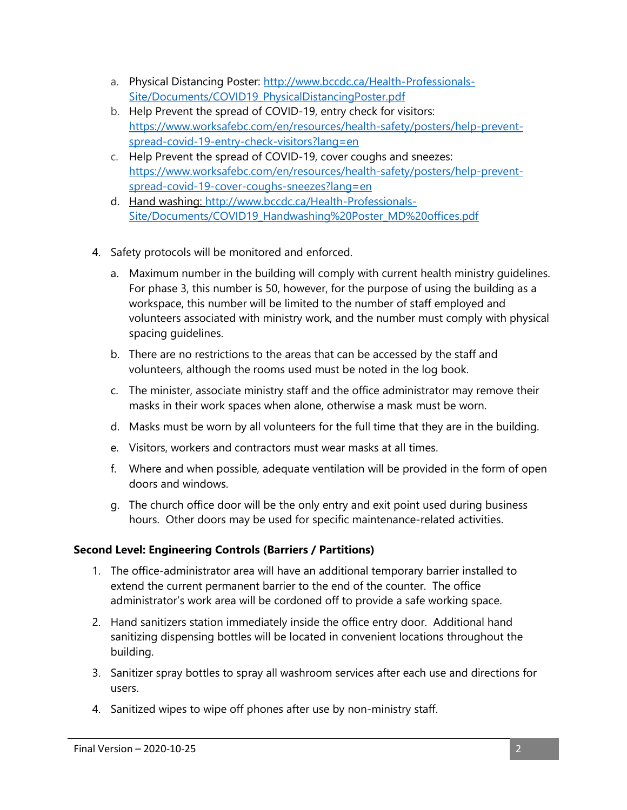- a. Physical Distancing Poster: [http://www.bccdc.ca/Health-Professionals-](http://www.bccdc.ca/Health-Professionals-Site/Documents/COVID19_PhysicalDistancingPoster.pdf)[Site/Documents/COVID19\\_PhysicalDistancingPoster.pdf](http://www.bccdc.ca/Health-Professionals-Site/Documents/COVID19_PhysicalDistancingPoster.pdf)
- b. Help Prevent the spread of COVID-19, entry check for visitors: [https://www.worksafebc.com/en/resources/health-safety/posters/help-prevent](https://www.worksafebc.com/en/resources/health-safety/posters/help-prevent-spread-covid-19-entry-check-visitors?lang=en)[spread-covid-19-entry-check-visitors?lang=en](https://www.worksafebc.com/en/resources/health-safety/posters/help-prevent-spread-covid-19-entry-check-visitors?lang=en)
- c. Help Prevent the spread of COVID-19, cover coughs and sneezes: [https://www.worksafebc.com/en/resources/health-safety/posters/help-prevent](https://www.worksafebc.com/en/resources/health-safety/posters/help-prevent-spread-covid-19-cover-coughs-sneezes?lang=en)[spread-covid-19-cover-coughs-sneezes?lang=en](https://www.worksafebc.com/en/resources/health-safety/posters/help-prevent-spread-covid-19-cover-coughs-sneezes?lang=en)
- d. Hand washing: [http://www.bccdc.ca/Health-Professionals-](http://www.bccdc.ca/Health-Professionals-Site/Documents/COVID19_Handwashing%20Poster_MD%20offices.pdf)[Site/Documents/COVID19\\_Handwashing%20Poster\\_MD%20offices.pdf](http://www.bccdc.ca/Health-Professionals-Site/Documents/COVID19_Handwashing%20Poster_MD%20offices.pdf)
- 4. Safety protocols will be monitored and enforced.
	- a. Maximum number in the building will comply with current health ministry guidelines. For phase 3, this number is 50, however, for the purpose of using the building as a workspace, this number will be limited to the number of staff employed and volunteers associated with ministry work, and the number must comply with physical spacing guidelines.
	- b. There are no restrictions to the areas that can be accessed by the staff and volunteers, although the rooms used must be noted in the log book.
	- c. The minister, associate ministry staff and the office administrator may remove their masks in their work spaces when alone, otherwise a mask must be worn.
	- d. Masks must be worn by all volunteers for the full time that they are in the building.
	- e. Visitors, workers and contractors must wear masks at all times.
	- f. Where and when possible, adequate ventilation will be provided in the form of open doors and windows.
	- g. The church office door will be the only entry and exit point used during business hours. Other doors may be used for specific maintenance-related activities.

#### **Second Level: Engineering Controls (Barriers / Partitions)**

- 1. The office-administrator area will have an additional temporary barrier installed to extend the current permanent barrier to the end of the counter. The office administrator's work area will be cordoned off to provide a safe working space.
- 2. Hand sanitizers station immediately inside the office entry door. Additional hand sanitizing dispensing bottles will be located in convenient locations throughout the building.
- 3. Sanitizer spray bottles to spray all washroom services after each use and directions for users.
- 4. Sanitized wipes to wipe off phones after use by non-ministry staff.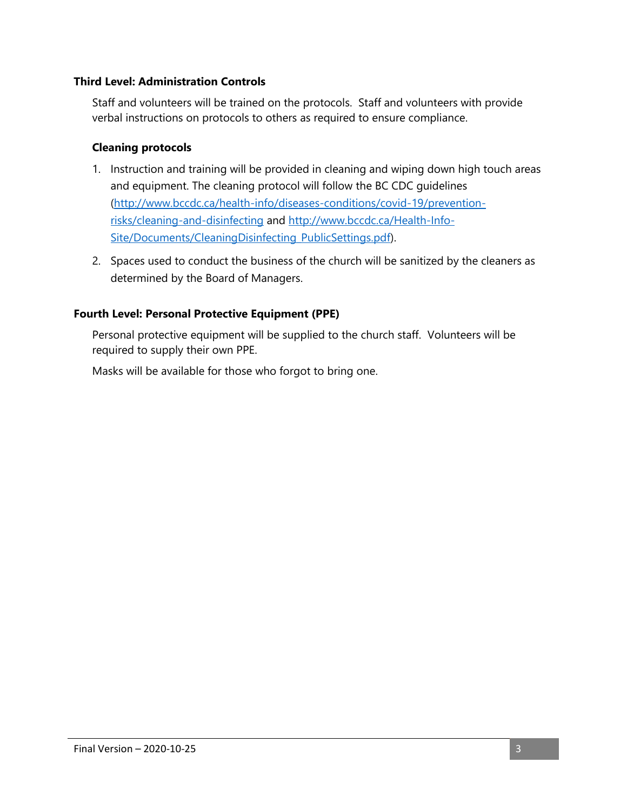#### **Third Level: Administration Controls**

Staff and volunteers will be trained on the protocols. Staff and volunteers with provide verbal instructions on protocols to others as required to ensure compliance.

#### **Cleaning protocols**

- 1. Instruction and training will be provided in cleaning and wiping down high touch areas and equipment. The cleaning protocol will follow the BC CDC guidelines [\(http://www.bccdc.ca/health-info/diseases-conditions/covid-19/prevention](http://www.bccdc.ca/health-info/diseases-conditions/covid-19/prevention-risks/cleaning-and-disinfecting)[risks/cleaning-and-disinfecting](http://www.bccdc.ca/health-info/diseases-conditions/covid-19/prevention-risks/cleaning-and-disinfecting) and [http://www.bccdc.ca/Health-Info-](http://www.bccdc.ca/Health-Info-Site/Documents/CleaningDisinfecting_PublicSettings.pdf)[Site/Documents/CleaningDisinfecting\\_PublicSettings.pdf\)](http://www.bccdc.ca/Health-Info-Site/Documents/CleaningDisinfecting_PublicSettings.pdf).
- 2. Spaces used to conduct the business of the church will be sanitized by the cleaners as determined by the Board of Managers.

#### **Fourth Level: Personal Protective Equipment (PPE)**

Personal protective equipment will be supplied to the church staff. Volunteers will be required to supply their own PPE.

Masks will be available for those who forgot to bring one.